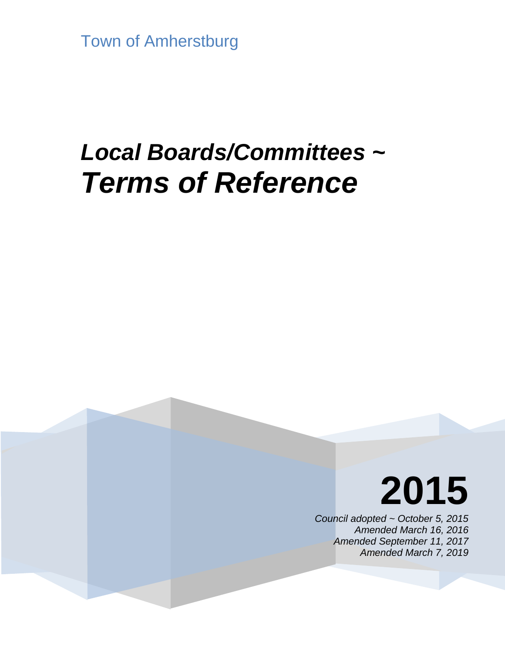Town of Amherstburg

# *Local Boards/Committees ~ Terms of Reference*

# **2015**

*Council adopted ~ October 5, 2015 Amended March 16, 2016 Amended September 11, 2017 Amended March 7, 2019*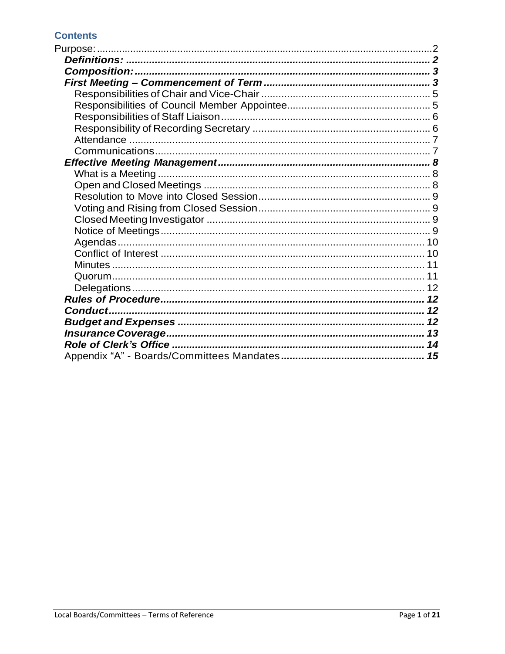# **Contents**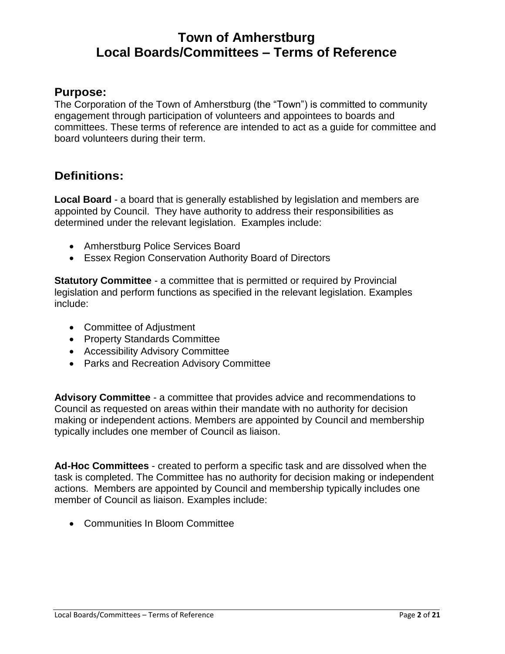# **Town of Amherstburg Local Boards/Committees – Terms of Reference**

# <span id="page-2-0"></span>**Purpose:**

The Corporation of the Town of Amherstburg (the "Town") is committed to community engagement through participation of volunteers and appointees to boards and committees. These terms of reference are intended to act as a guide for committee and board volunteers during their term.

# <span id="page-2-1"></span>**Definitions:**

**Local Board** - a board that is generally established by legislation and members are appointed by Council. They have authority to address their responsibilities as determined under the relevant legislation. Examples include:

- Amherstburg Police Services Board
- Essex Region Conservation Authority Board of Directors

**Statutory Committee** - a committee that is permitted or required by Provincial legislation and perform functions as specified in the relevant legislation. Examples include:

- Committee of Adjustment
- Property Standards Committee
- Accessibility Advisory Committee
- Parks and Recreation Advisory Committee

**Advisory Committee** - a committee that provides advice and recommendations to Council as requested on areas within their mandate with no authority for decision making or independent actions. Members are appointed by Council and membership typically includes one member of Council as liaison.

**Ad-Hoc Committees** - created to perform a specific task and are dissolved when the task is completed. The Committee has no authority for decision making or independent actions. Members are appointed by Council and membership typically includes one member of Council as liaison. Examples include:

Communities In Bloom Committee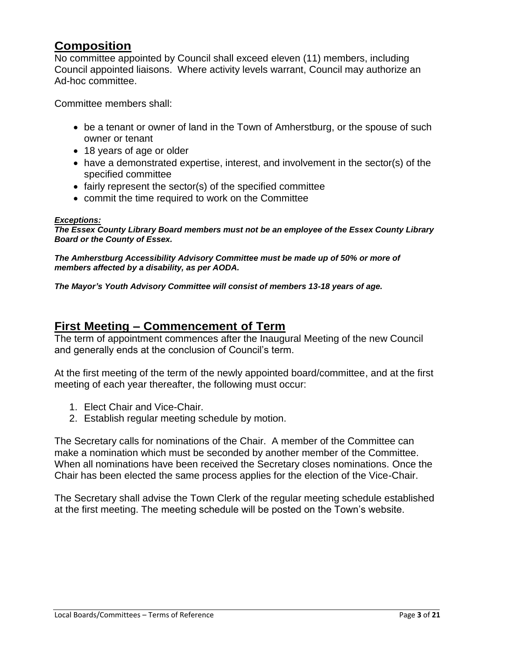# <span id="page-3-0"></span>**Composition**

No committee appointed by Council shall exceed eleven (11) members, including Council appointed liaisons. Where activity levels warrant, Council may authorize an Ad-hoc committee.

Committee members shall:

- be a tenant or owner of land in the Town of Amherstburg, or the spouse of such owner or tenant
- 18 years of age or older
- $\bullet$  have a demonstrated expertise, interest, and involvement in the sector(s) of the specified committee
- fairly represent the sector(s) of the specified committee
- commit the time required to work on the Committee

#### *Exceptions:*

*The Essex County Library Board members must not be an employee of the Essex County Library Board or the County of Essex.*

*The Amherstburg Accessibility Advisory Committee must be made up of 50% or more of members affected by a disability, as per AODA.*

*The Mayor's Youth Advisory Committee will consist of members 13-18 years of age.*

# <span id="page-3-1"></span>**First Meeting – Commencement of Term**

The term of appointment commences after the Inaugural Meeting of the new Council and generally ends at the conclusion of Council's term.

At the first meeting of the term of the newly appointed board/committee, and at the first meeting of each year thereafter, the following must occur:

- 1. Elect Chair and Vice-Chair.
- 2. Establish regular meeting schedule by motion.

The Secretary calls for nominations of the Chair. A member of the Committee can make a nomination which must be seconded by another member of the Committee. When all nominations have been received the Secretary closes nominations. Once the Chair has been elected the same process applies for the election of the Vice-Chair.

The Secretary shall advise the Town Clerk of the regular meeting schedule established at the first meeting. The meeting schedule will be posted on the Town's website.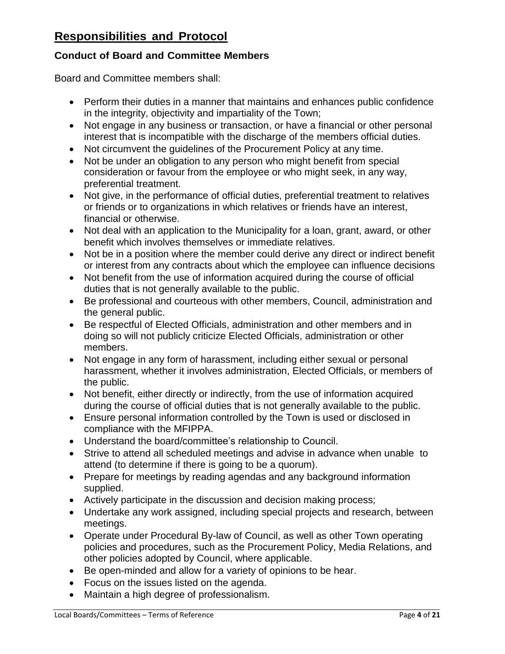# **Responsibilities and Protocol**

# **Conduct of Board and Committee Members**

Board and Committee members shall:

- Perform their duties in a manner that maintains and enhances public confidence in the integrity, objectivity and impartiality of the Town;
- Not engage in any business or transaction, or have a financial or other personal interest that is incompatible with the discharge of the members official duties.
- Not circumvent the quidelines of the Procurement Policy at any time.
- Not be under an obligation to any person who might benefit from special consideration or favour from the employee or who might seek, in any way, preferential treatment.
- Not give, in the performance of official duties, preferential treatment to relatives or friends or to organizations in which relatives or friends have an interest, financial or otherwise.
- Not deal with an application to the Municipality for a loan, grant, award, or other benefit which involves themselves or immediate relatives.
- Not be in a position where the member could derive any direct or indirect benefit or interest from any contracts about which the employee can influence decisions
- Not benefit from the use of information acquired during the course of official duties that is not generally available to the public.
- Be professional and courteous with other members, Council, administration and the general public.
- Be respectful of Elected Officials, administration and other members and in doing so will not publicly criticize Elected Officials, administration or other members.
- Not engage in any form of harassment, including either sexual or personal harassment, whether it involves administration, Elected Officials, or members of the public.
- Not benefit, either directly or indirectly, from the use of information acquired during the course of official duties that is not generally available to the public.
- Ensure personal information controlled by the Town is used or disclosed in compliance with the MFIPPA.
- Understand the board/committee's relationship to Council.
- Strive to attend all scheduled meetings and advise in advance when unable to attend (to determine if there is going to be a quorum).
- Prepare for meetings by reading agendas and any background information supplied.
- Actively participate in the discussion and decision making process;
- Undertake any work assigned, including special projects and research, between meetings.
- Operate under Procedural By-law of Council, as well as other Town operating policies and procedures, such as the Procurement Policy, Media Relations, and other policies adopted by Council, where applicable.
- Be open-minded and allow for a variety of opinions to be hear.
- Focus on the issues listed on the agenda.
- Maintain a high degree of professionalism.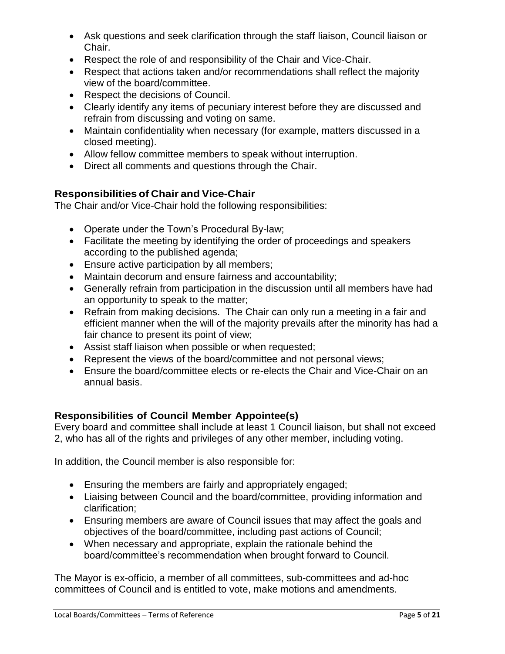- Ask questions and seek clarification through the staff liaison, Council liaison or Chair.
- Respect the role of and responsibility of the Chair and Vice-Chair.
- Respect that actions taken and/or recommendations shall reflect the majority view of the board/committee.
- Respect the decisions of Council.
- Clearly identify any items of pecuniary interest before they are discussed and refrain from discussing and voting on same.
- Maintain confidentiality when necessary (for example, matters discussed in a closed meeting).
- Allow fellow committee members to speak without interruption.
- Direct all comments and questions through the Chair.

# <span id="page-5-0"></span>**Responsibilities of Chair and Vice-Chair**

The Chair and/or Vice-Chair hold the following responsibilities:

- Operate under the Town's Procedural By-law;
- Facilitate the meeting by identifying the order of proceedings and speakers according to the published agenda;
- Ensure active participation by all members;
- Maintain decorum and ensure fairness and accountability;
- Generally refrain from participation in the discussion until all members have had an opportunity to speak to the matter;
- Refrain from making decisions. The Chair can only run a meeting in a fair and efficient manner when the will of the majority prevails after the minority has had a fair chance to present its point of view;
- Assist staff liaison when possible or when requested;
- Represent the views of the board/committee and not personal views;
- Ensure the board/committee elects or re-elects the Chair and Vice-Chair on an annual basis.

# <span id="page-5-1"></span>**Responsibilities of Council Member Appointee(s)**

Every board and committee shall include at least 1 Council liaison, but shall not exceed 2, who has all of the rights and privileges of any other member, including voting.

In addition, the Council member is also responsible for:

- Ensuring the members are fairly and appropriately engaged;
- Liaising between Council and the board/committee, providing information and clarification;
- Ensuring members are aware of Council issues that may affect the goals and objectives of the board/committee, including past actions of Council;
- When necessary and appropriate, explain the rationale behind the board/committee's recommendation when brought forward to Council.

The Mayor is ex-officio, a member of all committees, sub-committees and ad-hoc committees of Council and is entitled to vote, make motions and amendments.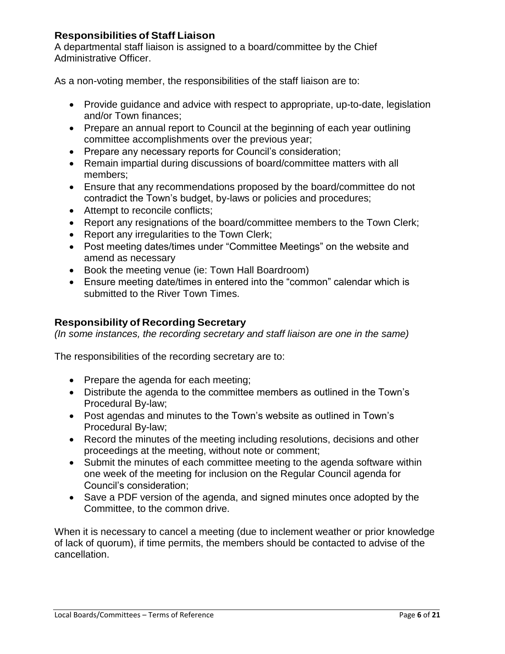# <span id="page-6-0"></span>**Responsibilities of Staff Liaison**

A departmental staff liaison is assigned to a board/committee by the Chief Administrative Officer.

As a non-voting member, the responsibilities of the staff liaison are to:

- Provide guidance and advice with respect to appropriate, up-to-date, legislation and/or Town finances;
- Prepare an annual report to Council at the beginning of each year outlining committee accomplishments over the previous year;
- Prepare any necessary reports for Council's consideration;
- Remain impartial during discussions of board/committee matters with all members;
- Ensure that any recommendations proposed by the board/committee do not contradict the Town's budget, by-laws or policies and procedures;
- Attempt to reconcile conflicts;
- Report any resignations of the board/committee members to the Town Clerk;
- Report any irregularities to the Town Clerk;
- Post meeting dates/times under "Committee Meetings" on the website and amend as necessary
- Book the meeting venue (ie: Town Hall Boardroom)
- Ensure meeting date/times in entered into the "common" calendar which is submitted to the River Town Times.

# <span id="page-6-1"></span>**Responsibility of Recording Secretary**

*(In some instances, the recording secretary and staff liaison are one in the same)*

The responsibilities of the recording secretary are to:

- Prepare the agenda for each meeting;
- Distribute the agenda to the committee members as outlined in the Town's Procedural By-law;
- Post agendas and minutes to the Town's website as outlined in Town's Procedural By-law;
- Record the minutes of the meeting including resolutions, decisions and other proceedings at the meeting, without note or comment;
- Submit the minutes of each committee meeting to the agenda software within one week of the meeting for inclusion on the Regular Council agenda for Council's consideration;
- Save a PDF version of the agenda, and signed minutes once adopted by the Committee, to the common drive.

When it is necessary to cancel a meeting (due to inclement weather or prior knowledge of lack of quorum), if time permits, the members should be contacted to advise of the cancellation.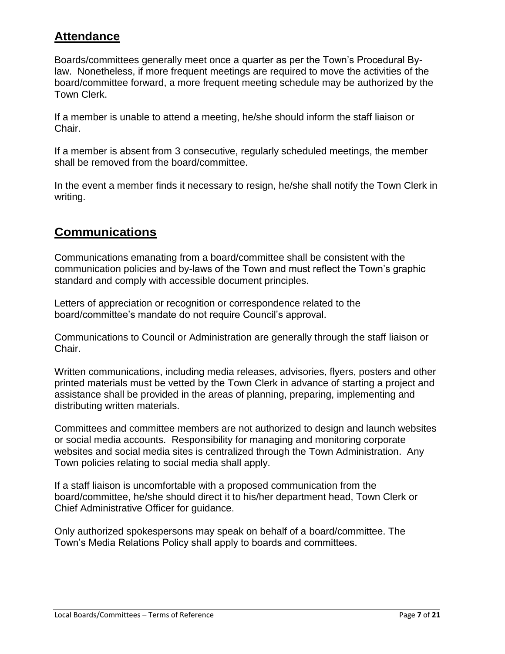# <span id="page-7-0"></span>**Attendance**

Boards/committees generally meet once a quarter as per the Town's Procedural Bylaw. Nonetheless, if more frequent meetings are required to move the activities of the board/committee forward, a more frequent meeting schedule may be authorized by the Town Clerk.

If a member is unable to attend a meeting, he/she should inform the staff liaison or Chair.

If a member is absent from 3 consecutive, regularly scheduled meetings, the member shall be removed from the board/committee.

In the event a member finds it necessary to resign, he/she shall notify the Town Clerk in writing.

# <span id="page-7-1"></span>**Communications**

Communications emanating from a board/committee shall be consistent with the communication policies and by-laws of the Town and must reflect the Town's graphic standard and comply with accessible document principles.

Letters of appreciation or recognition or correspondence related to the board/committee's mandate do not require Council's approval.

Communications to Council or Administration are generally through the staff liaison or Chair.

Written communications, including media releases, advisories, flyers, posters and other printed materials must be vetted by the Town Clerk in advance of starting a project and assistance shall be provided in the areas of planning, preparing, implementing and distributing written materials.

Committees and committee members are not authorized to design and launch websites or social media accounts. Responsibility for managing and monitoring corporate websites and social media sites is centralized through the Town Administration. Any Town policies relating to social media shall apply.

If a staff liaison is uncomfortable with a proposed communication from the board/committee, he/she should direct it to his/her department head, Town Clerk or Chief Administrative Officer for guidance.

Only authorized spokespersons may speak on behalf of a board/committee. The Town's Media Relations Policy shall apply to boards and committees.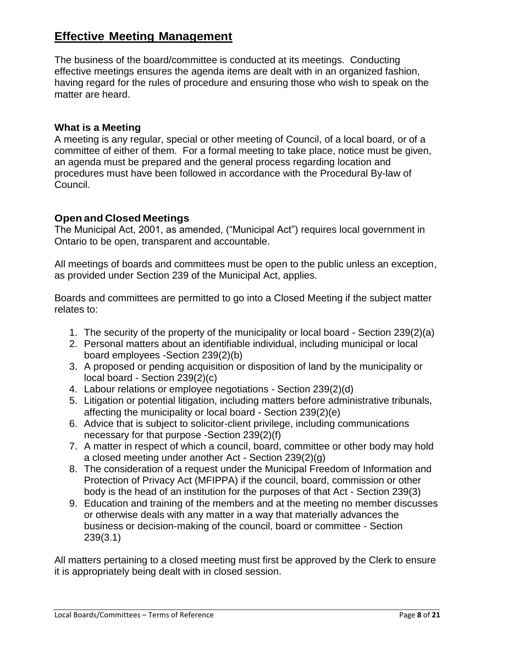# <span id="page-8-0"></span>**Effective Meeting Management**

The business of the board/committee is conducted at its meetings. Conducting effective meetings ensures the agenda items are dealt with in an organized fashion, having regard for the rules of procedure and ensuring those who wish to speak on the matter are heard.

#### <span id="page-8-1"></span>**What is a Meeting**

A meeting is any regular, special or other meeting of Council, of a local board, or of a committee of either of them. For a formal meeting to take place, notice must be given, an agenda must be prepared and the general process regarding location and procedures must have been followed in accordance with the Procedural By-law of Council.

#### <span id="page-8-2"></span>**Open and Closed Meetings**

The Municipal Act, 2001, as amended, ("Municipal Act") requires local government in Ontario to be open, transparent and accountable.

All meetings of boards and committees must be open to the public unless an exception, as provided under Section 239 of the Municipal Act, applies.

Boards and committees are permitted to go into a Closed Meeting if the subject matter relates to:

- 1. The security of the property of the municipality or local board Section 239(2)(a)
- 2. Personal matters about an identifiable individual, including municipal or local board employees -Section 239(2)(b)
- 3. A proposed or pending acquisition or disposition of land by the municipality or local board - Section 239(2)(c)
- 4. Labour relations or employee negotiations Section 239(2)(d)
- 5. Litigation or potential litigation, including matters before administrative tribunals, affecting the municipality or local board - Section 239(2)(e)
- 6. Advice that is subject to solicitor-client privilege, including communications necessary for that purpose -Section 239(2)(f)
- 7. A matter in respect of which a council, board, committee or other body may hold a closed meeting under another Act - Section 239(2)(g)
- 8. The consideration of a request under the Municipal Freedom of Information and Protection of Privacy Act (MFIPPA) if the council, board, commission or other body is the head of an institution for the purposes of that Act - Section 239(3)
- 9. Education and training of the members and at the meeting no member discusses or otherwise deals with any matter in a way that materially advances the business or decision-making of the council, board or committee - Section 239(3.1)

All matters pertaining to a closed meeting must first be approved by the Clerk to ensure it is appropriately being dealt with in closed session.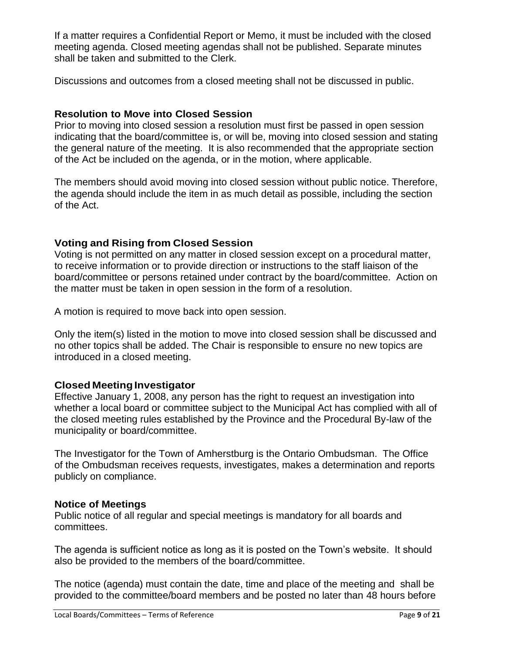If a matter requires a Confidential Report or Memo, it must be included with the closed meeting agenda. Closed meeting agendas shall not be published. Separate minutes shall be taken and submitted to the Clerk.

Discussions and outcomes from a closed meeting shall not be discussed in public.

# <span id="page-9-0"></span>**Resolution to Move into Closed Session**

Prior to moving into closed session a resolution must first be passed in open session indicating that the board/committee is, or will be, moving into closed session and stating the general nature of the meeting. It is also recommended that the appropriate section of the Act be included on the agenda, or in the motion, where applicable.

The members should avoid moving into closed session without public notice. Therefore, the agenda should include the item in as much detail as possible, including the section of the Act.

# <span id="page-9-1"></span>**Voting and Rising from Closed Session**

Voting is not permitted on any matter in closed session except on a procedural matter, to receive information or to provide direction or instructions to the staff liaison of the board/committee or persons retained under contract by the board/committee. Action on the matter must be taken in open session in the form of a resolution.

A motion is required to move back into open session.

Only the item(s) listed in the motion to move into closed session shall be discussed and no other topics shall be added. The Chair is responsible to ensure no new topics are introduced in a closed meeting.

# <span id="page-9-2"></span>**Closed Meeting Investigator**

Effective January 1, 2008, any person has the right to request an investigation into whether a local board or committee subject to the Municipal Act has complied with all of the closed meeting rules established by the Province and the Procedural By-law of the municipality or board/committee.

The Investigator for the Town of Amherstburg is the Ontario Ombudsman. The Office of the Ombudsman receives requests, investigates, makes a determination and reports publicly on compliance.

#### <span id="page-9-3"></span>**Notice of Meetings**

Public notice of all regular and special meetings is mandatory for all boards and committees.

The agenda is sufficient notice as long as it is posted on the Town's website. It should also be provided to the members of the board/committee.

The notice (agenda) must contain the date, time and place of the meeting and shall be provided to the committee/board members and be posted no later than 48 hours before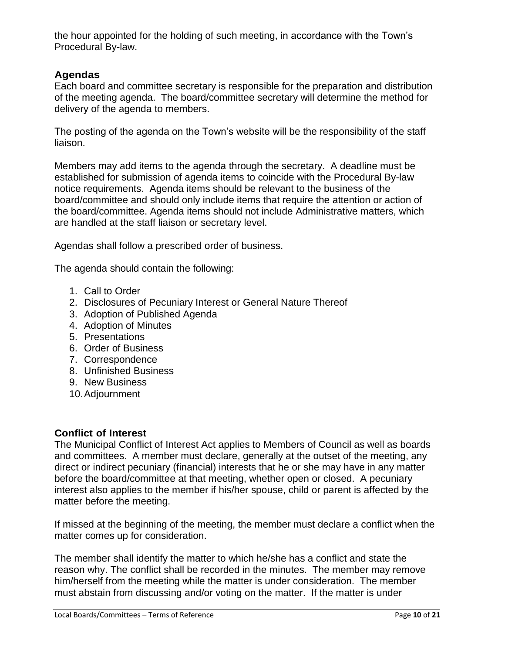the hour appointed for the holding of such meeting, in accordance with the Town's Procedural By-law.

# <span id="page-10-0"></span>**Agendas**

Each board and committee secretary is responsible for the preparation and distribution of the meeting agenda. The board/committee secretary will determine the method for delivery of the agenda to members.

The posting of the agenda on the Town's website will be the responsibility of the staff liaison.

Members may add items to the agenda through the secretary. A deadline must be established for submission of agenda items to coincide with the Procedural By-law notice requirements. Agenda items should be relevant to the business of the board/committee and should only include items that require the attention or action of the board/committee. Agenda items should not include Administrative matters, which are handled at the staff liaison or secretary level.

Agendas shall follow a prescribed order of business.

The agenda should contain the following:

- 1. Call to Order
- 2. Disclosures of Pecuniary Interest or General Nature Thereof
- 3. Adoption of Published Agenda
- 4. Adoption of Minutes
- 5. Presentations
- 6. Order of Business
- 7. Correspondence
- 8. Unfinished Business
- 9. New Business
- 10.Adjournment

# <span id="page-10-1"></span>**Conflict of Interest**

The Municipal Conflict of Interest Act applies to Members of Council as well as boards and committees. A member must declare, generally at the outset of the meeting, any direct or indirect pecuniary (financial) interests that he or she may have in any matter before the board/committee at that meeting, whether open or closed. A pecuniary interest also applies to the member if his/her spouse, child or parent is affected by the matter before the meeting.

If missed at the beginning of the meeting, the member must declare a conflict when the matter comes up for consideration.

The member shall identify the matter to which he/she has a conflict and state the reason why. The conflict shall be recorded in the minutes. The member may remove him/herself from the meeting while the matter is under consideration. The member must abstain from discussing and/or voting on the matter. If the matter is under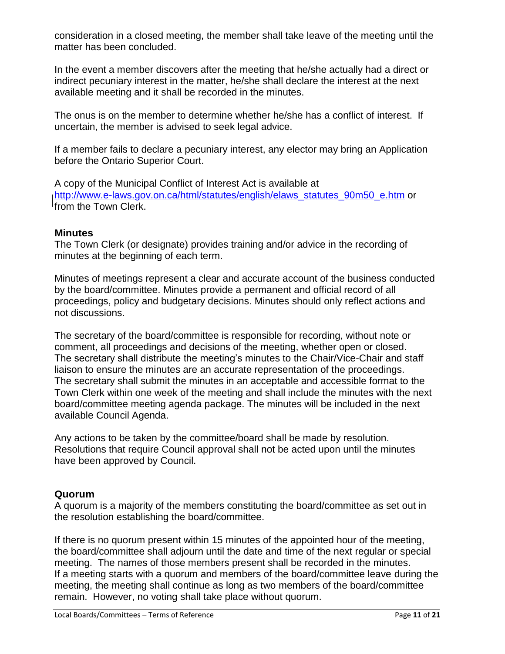consideration in a closed meeting, the member shall take leave of the meeting until the matter has been concluded.

In the event a member discovers after the meeting that he/she actually had a direct or indirect pecuniary interest in the matter, he/she shall declare the interest at the next available meeting and it shall be recorded in the minutes.

The onus is on the member to determine whether he/she has a conflict of interest. If uncertain, the member is advised to seek legal advice.

If a member fails to declare a pecuniary interest, any elector may bring an Application before the Ontario Superior Court.

A copy of the Municipal Conflict of Interest Act is available at [http://www.e-laws.gov.on.ca/html/statutes/english/elaws\\_statutes\\_90m50\\_e.htm](http://www.e-laws.gov.on.ca/html/statutes/english/elaws_statutes_90m50_e.htm) or from the Town Clerk.

#### <span id="page-11-0"></span>**Minutes**

The Town Clerk (or designate) provides training and/or advice in the recording of minutes at the beginning of each term.

Minutes of meetings represent a clear and accurate account of the business conducted by the board/committee. Minutes provide a permanent and official record of all proceedings, policy and budgetary decisions. Minutes should only reflect actions and not discussions.

The secretary of the board/committee is responsible for recording, without note or comment, all proceedings and decisions of the meeting, whether open or closed. The secretary shall distribute the meeting's minutes to the Chair/Vice-Chair and staff liaison to ensure the minutes are an accurate representation of the proceedings. The secretary shall submit the minutes in an acceptable and accessible format to the Town Clerk within one week of the meeting and shall include the minutes with the next board/committee meeting agenda package. The minutes will be included in the next available Council Agenda.

Any actions to be taken by the committee/board shall be made by resolution. Resolutions that require Council approval shall not be acted upon until the minutes have been approved by Council.

# <span id="page-11-1"></span>**Quorum**

A quorum is a majority of the members constituting the board/committee as set out in the resolution establishing the board/committee.

If there is no quorum present within 15 minutes of the appointed hour of the meeting, the board/committee shall adjourn until the date and time of the next regular or special meeting. The names of those members present shall be recorded in the minutes. If a meeting starts with a quorum and members of the board/committee leave during the meeting, the meeting shall continue as long as two members of the board/committee remain. However, no voting shall take place without quorum.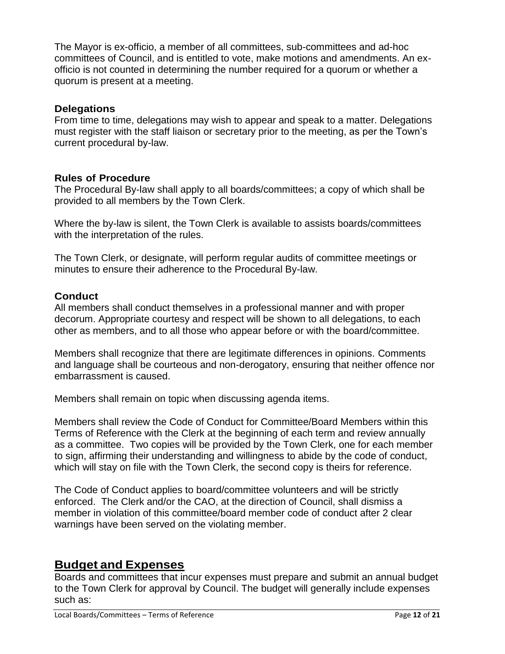The Mayor is ex-officio, a member of all committees, sub-committees and ad-hoc committees of Council, and is entitled to vote, make motions and amendments. An exofficio is not counted in determining the number required for a quorum or whether a quorum is present at a meeting.

#### <span id="page-12-0"></span>**Delegations**

From time to time, delegations may wish to appear and speak to a matter. Delegations must register with the staff liaison or secretary prior to the meeting, as per the Town's current procedural by-law.

#### <span id="page-12-1"></span>**Rules of Procedure**

The Procedural By-law shall apply to all boards/committees; a copy of which shall be provided to all members by the Town Clerk.

Where the by-law is silent, the Town Clerk is available to assists boards/committees with the interpretation of the rules.

The Town Clerk, or designate, will perform regular audits of committee meetings or minutes to ensure their adherence to the Procedural By-law.

# <span id="page-12-2"></span>**Conduct**

All members shall conduct themselves in a professional manner and with proper decorum. Appropriate courtesy and respect will be shown to all delegations, to each other as members, and to all those who appear before or with the board/committee.

Members shall recognize that there are legitimate differences in opinions. Comments and language shall be courteous and non-derogatory, ensuring that neither offence nor embarrassment is caused.

Members shall remain on topic when discussing agenda items.

Members shall review the Code of Conduct for Committee/Board Members within this Terms of Reference with the Clerk at the beginning of each term and review annually as a committee. Two copies will be provided by the Town Clerk, one for each member to sign, affirming their understanding and willingness to abide by the code of conduct, which will stay on file with the Town Clerk, the second copy is theirs for reference.

The Code of Conduct applies to board/committee volunteers and will be strictly enforced. The Clerk and/or the CAO, at the direction of Council, shall dismiss a member in violation of this committee/board member code of conduct after 2 clear warnings have been served on the violating member.

# <span id="page-12-3"></span>**Budget and Expenses**

Boards and committees that incur expenses must prepare and submit an annual budget to the Town Clerk for approval by Council. The budget will generally include expenses such as: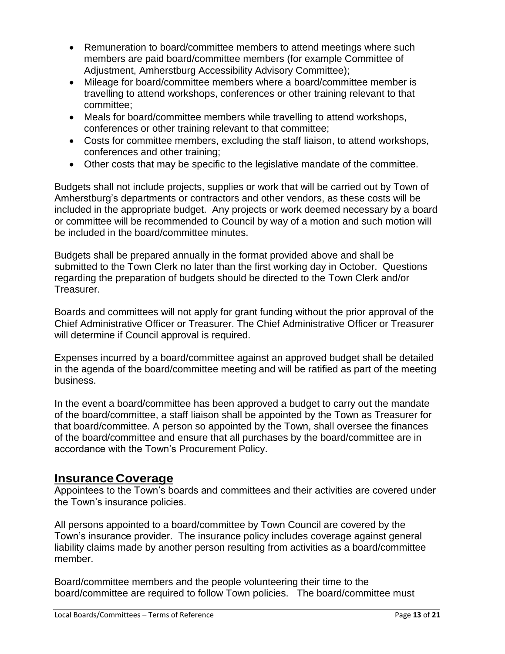- Remuneration to board/committee members to attend meetings where such members are paid board/committee members (for example Committee of Adjustment, Amherstburg Accessibility Advisory Committee);
- Mileage for board/committee members where a board/committee member is travelling to attend workshops, conferences or other training relevant to that committee;
- Meals for board/committee members while travelling to attend workshops, conferences or other training relevant to that committee;
- Costs for committee members, excluding the staff liaison, to attend workshops, conferences and other training;
- Other costs that may be specific to the legislative mandate of the committee.

Budgets shall not include projects, supplies or work that will be carried out by Town of Amherstburg's departments or contractors and other vendors, as these costs will be included in the appropriate budget. Any projects or work deemed necessary by a board or committee will be recommended to Council by way of a motion and such motion will be included in the board/committee minutes.

Budgets shall be prepared annually in the format provided above and shall be submitted to the Town Clerk no later than the first working day in October. Questions regarding the preparation of budgets should be directed to the Town Clerk and/or Treasurer.

Boards and committees will not apply for grant funding without the prior approval of the Chief Administrative Officer or Treasurer. The Chief Administrative Officer or Treasurer will determine if Council approval is required.

Expenses incurred by a board/committee against an approved budget shall be detailed in the agenda of the board/committee meeting and will be ratified as part of the meeting business.

In the event a board/committee has been approved a budget to carry out the mandate of the board/committee, a staff liaison shall be appointed by the Town as Treasurer for that board/committee. A person so appointed by the Town, shall oversee the finances of the board/committee and ensure that all purchases by the board/committee are in accordance with the Town's Procurement Policy.

# <span id="page-13-0"></span>**Insurance Coverage**

Appointees to the Town's boards and committees and their activities are covered under the Town's insurance policies.

All persons appointed to a board/committee by Town Council are covered by the Town's insurance provider. The insurance policy includes coverage against general liability claims made by another person resulting from activities as a board/committee member.

Board/committee members and the people volunteering their time to the board/committee are required to follow Town policies. The board/committee must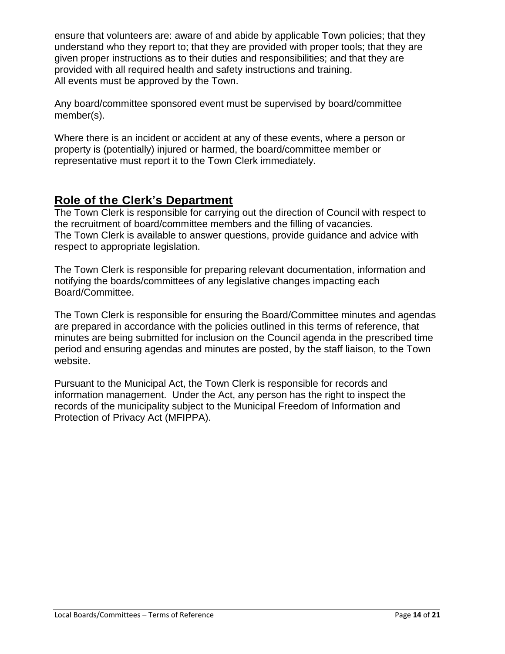ensure that volunteers are: aware of and abide by applicable Town policies; that they understand who they report to; that they are provided with proper tools; that they are given proper instructions as to their duties and responsibilities; and that they are provided with all required health and safety instructions and training. All events must be approved by the Town.

Any board/committee sponsored event must be supervised by board/committee member(s).

Where there is an incident or accident at any of these events, where a person or property is (potentially) injured or harmed, the board/committee member or representative must report it to the Town Clerk immediately.

# <span id="page-14-0"></span>**Role of the Clerk's Department**

The Town Clerk is responsible for carrying out the direction of Council with respect to the recruitment of board/committee members and the filling of vacancies. The Town Clerk is available to answer questions, provide guidance and advice with respect to appropriate legislation.

The Town Clerk is responsible for preparing relevant documentation, information and notifying the boards/committees of any legislative changes impacting each Board/Committee.

The Town Clerk is responsible for ensuring the Board/Committee minutes and agendas are prepared in accordance with the policies outlined in this terms of reference, that minutes are being submitted for inclusion on the Council agenda in the prescribed time period and ensuring agendas and minutes are posted, by the staff liaison, to the Town website.

Pursuant to the Municipal Act, the Town Clerk is responsible for records and information management. Under the Act, any person has the right to inspect the records of the municipality subject to the Municipal Freedom of Information and Protection of Privacy Act (MFIPPA).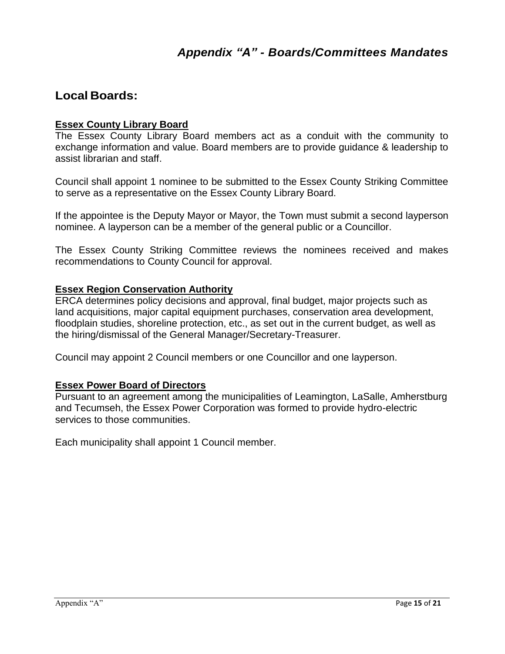# <span id="page-15-0"></span>**Local Boards:**

#### **Essex County Library Board**

The Essex County Library Board members act as a conduit with the community to exchange information and value. Board members are to provide guidance & leadership to assist librarian and staff.

Council shall appoint 1 nominee to be submitted to the Essex County Striking Committee to serve as a representative on the Essex County Library Board.

If the appointee is the Deputy Mayor or Mayor, the Town must submit a second layperson nominee. A layperson can be a member of the general public or a Councillor.

The Essex County Striking Committee reviews the nominees received and makes recommendations to County Council for approval.

#### **Essex Region Conservation Authority**

ERCA determines policy decisions and approval, final budget, major projects such as land acquisitions, major capital equipment purchases, conservation area development, floodplain studies, shoreline protection, etc., as set out in the current budget, as well as the hiring/dismissal of the General Manager/Secretary-Treasurer.

Council may appoint 2 Council members or one Councillor and one layperson.

#### **Essex Power Board of Directors**

Pursuant to an agreement among the municipalities of Leamington, LaSalle, Amherstburg and Tecumseh, the Essex Power Corporation was formed to provide hydro-electric services to those communities.

Each municipality shall appoint 1 Council member.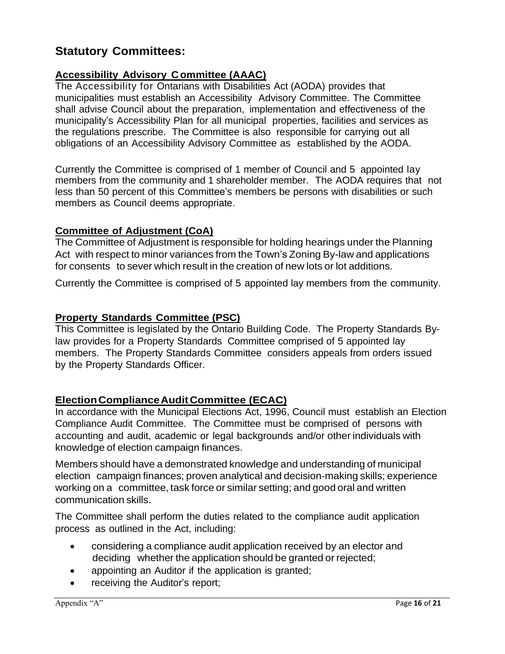# **Statutory Committees:**

# **Accessibility Advisory C ommittee (AAAC)**

The Accessibility for Ontarians with Disabilities Act (AODA) provides that municipalities must establish an Accessibility Advisory Committee. The Committee shall advise Council about the preparation, implementation and effectiveness of the municipality's Accessibility Plan for all municipal properties, facilities and services as the regulations prescribe. The Committee is also responsible for carrying out all obligations of an Accessibility Advisory Committee as established by the AODA.

Currently the Committee is comprised of 1 member of Council and 5 appointed lay members from the community and 1 shareholder member. The AODA requires that not less than 50 percent of this Committee's members be persons with disabilities or such members as Council deems appropriate.

# **Committee of Adjustment (CoA)**

The Committee of Adjustment is responsible for holding hearings under the Planning Act with respect to minor variances from the Town's Zoning By-law and applications for consents to sever which result in the creation of new lots or lot additions.

Currently the Committee is comprised of 5 appointed lay members from the community.

# **Property Standards Committee (PSC)**

This Committee is legislated by the Ontario Building Code. The Property Standards Bylaw provides for a Property Standards Committee comprised of 5 appointed lay members. The Property Standards Committee considers appeals from orders issued by the Property Standards Officer.

# **ElectionComplianceAuditCommittee (ECAC)**

In accordance with the Municipal Elections Act, 1996, Council must establish an Election Compliance Audit Committee. The Committee must be comprised of persons with accounting and audit, academic or legal backgrounds and/or other individuals with knowledge of election campaign finances.

Members should have a demonstrated knowledge and understanding of municipal election campaign finances; proven analytical and decision-making skills; experience working on a committee, task force or similar setting; and good oral and written communication skills.

The Committee shall perform the duties related to the compliance audit application process as outlined in the Act, including:

- considering a compliance audit application received by an elector and deciding whether the application should be granted or rejected;
- appointing an Auditor if the application is granted;
- receiving the Auditor's report;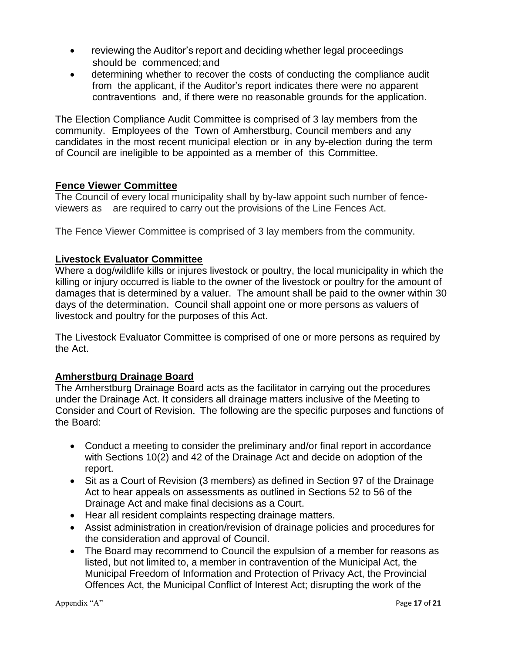- reviewing the Auditor's report and deciding whether legal proceedings should be commenced;and
- determining whether to recover the costs of conducting the compliance audit from the applicant, if the Auditor's report indicates there were no apparent contraventions and, if there were no reasonable grounds for the application.

The Election Compliance Audit Committee is comprised of 3 lay members from the community. Employees of the Town of Amherstburg, Council members and any candidates in the most recent municipal election or in any by-election during the term of Council are ineligible to be appointed as a member of this Committee.

# **Fence Viewer Committee**

The Council of every local municipality shall by by-law appoint such number of fenceviewers as are required to carry out the provisions of the Line Fences Act.

The Fence Viewer Committee is comprised of 3 lay members from the community.

# **Livestock Evaluator Committee**

Where a dog/wildlife kills or injures livestock or poultry, the local municipality in which the killing or injury occurred is liable to the owner of the livestock or poultry for the amount of damages that is determined by a valuer. The amount shall be paid to the owner within 30 days of the determination. Council shall appoint one or more persons as valuers of livestock and poultry for the purposes of this Act.

The Livestock Evaluator Committee is comprised of one or more persons as required by the Act.

# **Amherstburg Drainage Board**

The Amherstburg Drainage Board acts as the facilitator in carrying out the procedures under the Drainage Act. It considers all drainage matters inclusive of the Meeting to Consider and Court of Revision. The following are the specific purposes and functions of the Board:

- Conduct a meeting to consider the preliminary and/or final report in accordance with Sections 10(2) and 42 of the Drainage Act and decide on adoption of the report.
- Sit as a Court of Revision (3 members) as defined in Section 97 of the Drainage Act to hear appeals on assessments as outlined in Sections 52 to 56 of the Drainage Act and make final decisions as a Court.
- Hear all resident complaints respecting drainage matters.
- Assist administration in creation/revision of drainage policies and procedures for the consideration and approval of Council.
- The Board may recommend to Council the expulsion of a member for reasons as listed, but not limited to, a member in contravention of the Municipal Act, the Municipal Freedom of Information and Protection of Privacy Act, the Provincial Offences Act, the Municipal Conflict of Interest Act; disrupting the work of the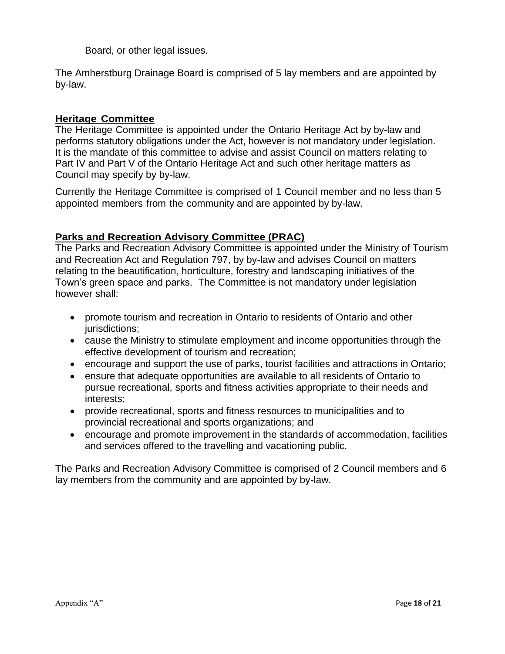Board, or other legal issues.

The Amherstburg Drainage Board is comprised of 5 lay members and are appointed by by-law.

# **Heritage Committee**

The Heritage Committee is appointed under the Ontario Heritage Act by by-law and performs statutory obligations under the Act, however is not mandatory under legislation. It is the mandate of this committee to advise and assist Council on matters relating to Part IV and Part V of the Ontario Heritage Act and such other heritage matters as Council may specify by by-law.

Currently the Heritage Committee is comprised of 1 Council member and no less than 5 appointed members from the community and are appointed by by-law.

# **Parks and Recreation Advisory Committee (PRAC)**

The Parks and Recreation Advisory Committee is appointed under the Ministry of Tourism and Recreation Act and Regulation 797, by by-law and advises Council on matters relating to the beautification, horticulture, forestry and landscaping initiatives of the Town's green space and parks. The Committee is not mandatory under legislation however shall:

- promote tourism and recreation in Ontario to residents of Ontario and other jurisdictions:
- cause the Ministry to stimulate employment and income opportunities through the effective development of tourism and recreation;
- encourage and support the use of parks, tourist facilities and attractions in Ontario;
- ensure that adequate opportunities are available to all residents of Ontario to pursue recreational, sports and fitness activities appropriate to their needs and interests;
- provide recreational, sports and fitness resources to municipalities and to provincial recreational and sports organizations; and
- encourage and promote improvement in the standards of accommodation, facilities and services offered to the travelling and vacationing public.

The Parks and Recreation Advisory Committee is comprised of 2 Council members and 6 lay members from the community and are appointed by by-law.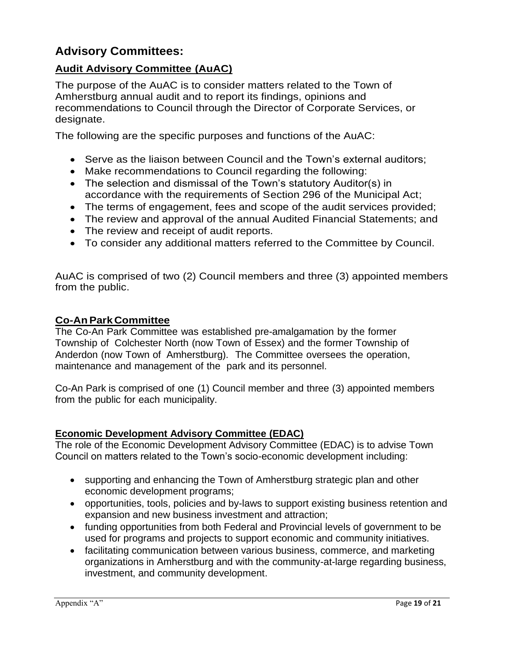# **Advisory Committees:**

# **Audit Advisory Committee (AuAC)**

The purpose of the AuAC is to consider matters related to the Town of Amherstburg annual audit and to report its findings, opinions and recommendations to Council through the Director of Corporate Services, or designate.

The following are the specific purposes and functions of the AuAC:

- Serve as the liaison between Council and the Town's external auditors;
- Make recommendations to Council regarding the following:
- The selection and dismissal of the Town's statutory Auditor(s) in accordance with the requirements of Section 296 of the Municipal Act;
- The terms of engagement, fees and scope of the audit services provided;
- The review and approval of the annual Audited Financial Statements; and
- The review and receipt of audit reports.
- To consider any additional matters referred to the Committee by Council.

AuAC is comprised of two (2) Council members and three (3) appointed members from the public.

#### **Co-AnPark Committee**

The Co-An Park Committee was established pre-amalgamation by the former Township of Colchester North (now Town of Essex) and the former Township of Anderdon (now Town of Amherstburg). The Committee oversees the operation, maintenance and management of the park and its personnel.

Co-An Park is comprised of one (1) Council member and three (3) appointed members from the public for each municipality.

#### **Economic Development Advisory Committee (EDAC)**

The role of the Economic Development Advisory Committee (EDAC) is to advise Town Council on matters related to the Town's socio-economic development including:

- supporting and enhancing the Town of Amherstburg strategic plan and other economic development programs;
- opportunities, tools, policies and by-laws to support existing business retention and expansion and new business investment and attraction;
- funding opportunities from both Federal and Provincial levels of government to be used for programs and projects to support economic and community initiatives.
- facilitating communication between various business, commerce, and marketing organizations in Amherstburg and with the community-at-large regarding business, investment, and community development.